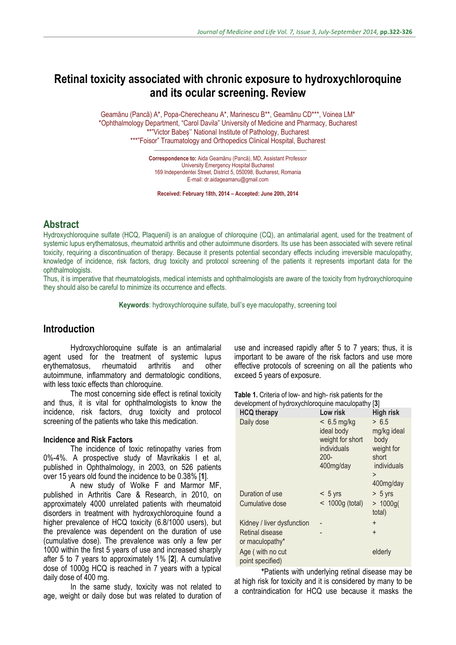# **Retinal toxicity associated with chronic exposure to hydroxychloroquine and its ocular screening. Review**

Geamănu (Pancă) A\*, Popa-Cherecheanu A\*, Marinescu B\*\*, Geamănu CD\*\*\*, Voinea LM\* \*Ophthalmology Department, "Carol Davila" University of Medicine and Pharmacy, Bucharest \*\*"Victor Babeș'' National Institute of Pathology, Bucharest \*\*\*"Foisor" Traumatology and Orthopedics Clinical Hospital, Bucharest

> **Correspondence to:** Aida Geamănu (Pancă), MD, Assistant Professor University Emergency Hospital Bucharest 169 Independentei Street, District 5, 050098, Bucharest, Romania E-mail: dr.aidageamanu@gmail.com

**Received: February 18th, 2014 – Accepted: June 20th, 2014**

### **Abstract**

Hydroxychloroquine sulfate (HCQ, Plaquenil) is an analogue of chloroquine (CQ), an antimalarial agent, used for the treatment of systemic lupus erythematosus, rheumatoid arthritis and other autoimmune disorders. Its use has been associated with severe retinal toxicity, requiring a discontinuation of therapy. Because it presents potential secondary effects including irreversible maculopathy, knowledge of incidence, risk factors, drug toxicity and protocol screening of the patients it represents important data for the ophthalmologists.

Thus, it is imperative that rheumatologists, medical internists and ophthalmologists are aware of the toxicity from hydroxychloroquine they should also be careful to minimize its occurrence and effects.

**Keywords**: hydroxychloroquine sulfate, bull's eye maculopathy, screening tool

### **Introduction**

Hydroxychloroquine sulfate is an antimalarial agent used for the treatment of systemic lupus<br>erythematosus, rheumatoid arthritis and other erythematosus, rheumatoid arthritis and other autoimmune, inflammatory and dermatologic conditions, with less toxic effects than chloroquine.

The most concerning side effect is retinal toxicity and thus, it is vital for ophthalmologists to know the incidence, risk factors, drug toxicity and protocol screening of the patients who take this medication.

#### **Incidence and Risk Factors**

The incidence of toxic retinopathy varies from 0%-4%. A prospective study of Mavrikakis I et al, published in Ophthalmology, in 2003, on 526 patients over 15 years old found the incidence to be 0.38% [**1**].

A new study of Wolke F and Marmor MF, published in Arthritis Care & Research, in 2010, on approximately 4000 unrelated patients with rheumatoid disorders in treatment with hydroxychloroquine found a higher prevalence of HCQ toxicity (6.8/1000 users), but the prevalence was dependent on the duration of use (cumulative dose). The prevalence was only a few per 1000 within the first 5 years of use and increased sharply after 5 to 7 years to approximately 1% [**2**]. A cumulative dose of 1000g HCQ is reached in 7 years with a typical daily dose of 400 mg.

In the same study, toxicity was not related to age, weight or daily dose but was related to duration of use and increased rapidly after 5 to 7 years; thus, it is important to be aware of the risk factors and use more effective protocols of screening on all the patients who exceed 5 years of exposure.

**Table 1.** Criteria of low- and high- risk patients for the development of hydroxychloroquine maculopathy [**3**]

| <b>HCQ therapy</b>                   | Low risk                                                                               | <b>High risk</b>                                                                     |
|--------------------------------------|----------------------------------------------------------------------------------------|--------------------------------------------------------------------------------------|
| Daily dose                           | $< 6.5$ mg/kg<br>ideal body<br>weight for short<br>individuals<br>$200 -$<br>400mg/day | > 6.5<br>mg/kg ideal<br>body<br>weight for<br>short<br>individuals<br>><br>400mg/day |
| Duration of use                      | $< 5$ yrs                                                                              | $> 5$ yrs                                                                            |
| Cumulative dose                      | $<$ 1000g (total)                                                                      | $> 1000$ g(<br>total)                                                                |
| Kidney / liver dysfunction           |                                                                                        | $\ddot{}$                                                                            |
| Retinal disease<br>or maculopathy*   |                                                                                        | $+$                                                                                  |
| Age (with no cut<br>point specified) |                                                                                        | elderly                                                                              |

**\***Patients with underlying retinal disease may be at high risk for toxicity and it is considered by many to be a contraindication for HCQ use because it masks the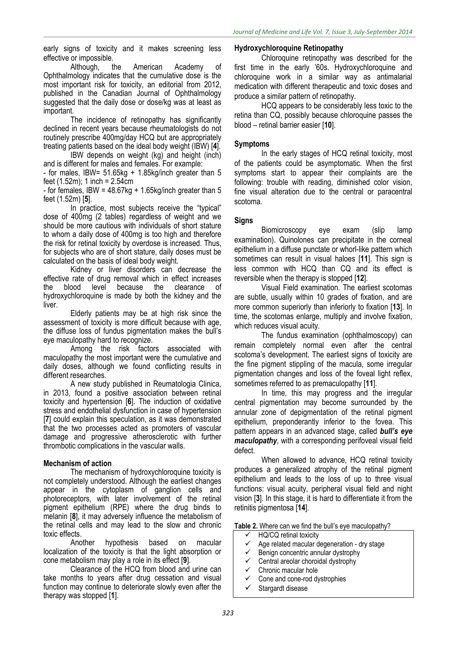early signs of toxicity and it makes screening less effective or impossible.

Although, the American Academy of Ophthalmology indicates that the cumulative dose is the most important risk for toxicity, an editorial from 2012, published in the Canadian Journal of Ophthalmology suggested that the daily dose or dose/kg was at least as important.

The incidence of retinopathy has significantly declined in recent years because rheumatologists do not routinely prescribe 400mg/day HCQ but are appropriately treating patients based on the ideal body weight (IBW) [**4**].

IBW depends on weight (kg) and height (inch) and is different for males and females. For example:

- for males, IBW=  $51.65kg + 1.85kg/inch greater than 5$ feet  $(1.52m)$ ; 1 inch = 2.54cm

- for females, IBW =  $48.67$ kg + 1.65kg/inch greater than 5 feet (1.52m) [**5**].

In practice, most subjects receive the "typical" dose of 400mg (2 tables) regardless of weight and we should be more cautious with individuals of short stature to whom a daily dose of 400mg is too high and therefore the risk for retinal toxicity by overdose is increased. Thus, for subjects who are of short stature, daily doses must be calculated on the basis of ideal body weight.

Kidney or liver disorders can decrease the effective rate of drug removal which in effect increases the blood level because the clearance of hydroxychloroquine is made by both the kidney and the liver.

Elderly patients may be at high risk since the assessment of toxicity is more difficult because with age, the diffuse loss of fundus pigmentation makes the bull's eye maculopathy hard to recognize.

Among the risk factors associated with maculopathy the most important were the cumulative and daily doses, although we found conflicting results in different researches.

A new study published in Reumatologia Clinica, in 2013, found a positive association between retinal toxicity and hypertension [**6**]. The induction of oxidative stress and endothelial dysfunction in case of hypertension [**7**] could explain this speculation, as it was demonstrated that the two processes acted as promoters of vascular damage and progressive atherosclerotic with further thrombotic complications in the vascular walls.

#### **Mechanism of action**

The mechanism of hydroxychloroquine toxicity is not completely understood. Although the earliest changes appear in the cytoplasm of ganglion cells and photoreceptors, with later involvement of the retinal pigment epithelium (RPE) where the drug binds to melanin [**8**], it may adversely influence the metabolism of the retinal cells and may lead to the slow and chronic toxic effects.

Another hypothesis based on macular localization of the toxicity is that the light absorption or cone metabolism may play a role in its effect [**9**].

Clearance of the HCQ from blood and urine can take months to years after drug cessation and visual function may continue to deteriorate slowly even after the therapy was stopped [**1**].

#### **Hydroxychloroquine Retinopathy**

Chloroquine retinopathy was described for the first time in the early '60s. Hydroxychloroquine and chloroquine work in a similar way as antimalarial medication with different therapeutic and toxic doses and produce a similar pattern of retinopathy.

HCQ appears to be considerably less toxic to the retina than CQ, possibly because chloroquine passes the blood – retinal barrier easier [**10**].

#### **Symptoms**

In the early stages of HCQ retinal toxicity, most of the patients could be asymptomatic. When the first symptoms start to appear their complaints are the following: trouble with reading, diminished color vision, fine visual alteration due to the central or paracentral scotoma.

#### **Signs**

Biomicroscopy eye exam (slip lamp examination). Quinolones can precipitate in the corneal epithelium in a diffuse punctate or whorl-like pattern which sometimes can result in visual haloes [**11**]. This sign is less common with HCQ than CQ and its effect is reversible when the therapy is stopped [**12**].

Visual Field examination. The earliest scotomas are subtle, usually within 10 grades of fixation, and are more common superiorly than inferiorly to fixation [**13**]. In time, the scotomas enlarge, multiply and involve fixation, which reduces visual acuity.

The fundus examination (ophthalmoscopy) can remain completely normal even after the central scotoma's development. The earliest signs of toxicity are the fine pigment stippling of the macula, some irregular pigmentation changes and loss of the foveal light reflex. sometimes referred to as premaculopathy [**11**].

In time, this may progress and the irregular central pigmentation may become surrounded by the annular zone of depigmentation of the retinal pigment epithelium, preponderantly inferior to the fovea. This pattern appears in an advanced stage, called *bull's eye maculopathy*, with a corresponding perifoveal visual field defect.

When allowed to advance, HCQ retinal toxicity produces a generalized atrophy of the retinal pigment epithelium and leads to the loss of up to three visual functions: visual acuity, peripheral visual field and night vision [**3**]. In this stage, it is hard to differentiate it from the retinitis pigmentosa [**14**].

Table 2. Where can we find the bull's eve maculopathy?

- $\checkmark$  HQ/CQ retinal toxicity
- $\checkmark$  Age related macular degeneration dry stage
- $\checkmark$  Benign concentric annular dystrophy
- $\checkmark$  Central areolar choroidal dystrophy
- $\checkmark$  Chronic macular hole
- Cone and cone-rod dystrophies
- $\checkmark$  Stargardt disease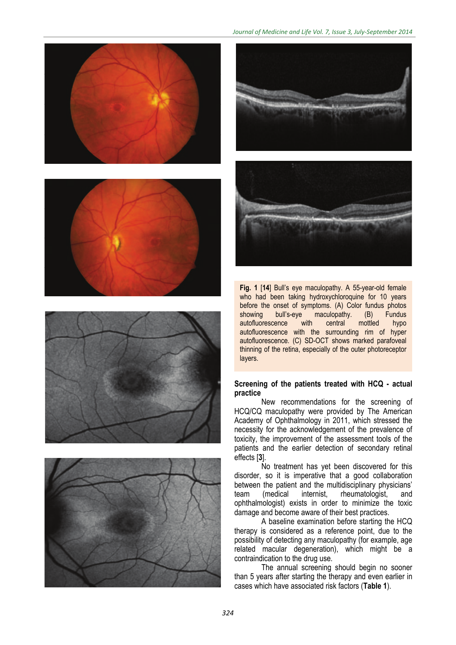











**Fig. 1** [**14**] Bull's eye maculopathy. A 55-year-old female who had been taking hydroxychloroquine for 10 years before the onset of symptoms. (A) Color fundus photos showing bull's-eye maculopathy. (B) Fundus eye maculopathy. (B) Fundu<mark>s</mark><br>with central mottled hypo autofluorescence with central mottled hypo autofluorescence with the surrounding rim of hyper autofluorescence. (C) SD-OCT shows marked parafoveal thinning of the retina, especially of the outer photoreceptor lavers.

#### **Screening of the patients treated with HCQ - actual practice**

New recommendations for the screening of HCQ/CQ maculopathy were provided by The American Academy of Ophthalmology in 2011, which stressed the necessity for the acknowledgement of the prevalence of toxicity, the improvement of the assessment tools of the patients and the earlier detection of secondary retinal effects [**3**].

No treatment has yet been discovered for this disorder, so it is imperative that a good collaboration between the patient and the multidisciplinary physicians'<br>team (medical internist, rheumatologist, and team (medical internist, rheumatologist, and ophthalmologist) exists in order to minimize the toxic damage and become aware of their best practices.

A baseline examination before starting the HCQ therapy is considered as a reference point, due to the possibility of detecting any maculopathy (for example, age related macular degeneration), which might be a contraindication to the drug use.

The annual screening should begin no sooner than 5 years after starting the therapy and even earlier in cases which have associated risk factors (**Table 1**).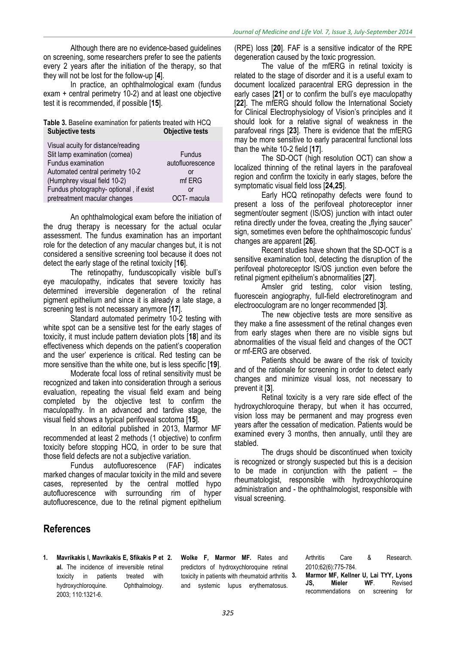Although there are no evidence-based guidelines on screening, some researchers prefer to see the patients every 2 years after the initiation of the therapy, so that they will not be lost for the follow-up [**4**].

In practice, an ophthalmological exam (fundus exam + central perimetry 10-2) and at least one objective test it is recommended, if possible [**15**].

#### **Table 3.** Baseline examination for patients treated with HCQ **Subjective tests Objective tests**

| Visual acuity for distance/reading     |                  |
|----------------------------------------|------------------|
| Slit lamp examination (cornea)         | <b>Fundus</b>    |
| Fundus examination                     | autofluorescence |
| Automated central perimetry 10-2       | or               |
| (Humphrey visual field 10-2)           | mf ERG           |
| Fundus photography- optional, if exist | or               |
| pretreatment macular changes           | OCT-macula       |

An ophthalmological exam before the initiation of the drug therapy is necessary for the actual ocular assessment. The fundus examination has an important role for the detection of any macular changes but, it is not considered a sensitive screening tool because it does not detect the early stage of the retinal toxicity [**16**].

The retinopathy, funduscopically visible bull's eye maculopathy, indicates that severe toxicity has determined irreversible degeneration of the retinal pigment epithelium and since it is already a late stage, a screening test is not necessary anymore [**17**].

Standard automated perimetry 10-2 testing with white spot can be a sensitive test for the early stages of toxicity, it must include pattern deviation plots [**18**] and its effectiveness which depends on the patient's cooperation and the user' experience is critical. Red testing can be more sensitive than the white one, but is less specific [**19**].

Moderate focal loss of retinal sensitivity must be recognized and taken into consideration through a serious evaluation, repeating the visual field exam and being completed by the objective test to confirm the maculopathy. In an advanced and tardive stage, the visual field shows a typical perifoveal scotoma [**15**].

In an editorial published in 2013, Marmor MF recommended at least 2 methods (1 objective) to confirm toxicity before stopping HCQ, in order to be sure that those field defects are not a subjective variation.

autofluorescence (FAF) indicates marked changes of macular toxicity in the mild and severe cases, represented by the central mottled hypo autofluorescence with surrounding rim of hyper autofluorescence, due to the retinal pigment epithelium

(RPE) loss [**20**]. FAF is a sensitive indicator of the RPE degeneration caused by the toxic progression.

The value of the mfERG in retinal toxicity is related to the stage of disorder and it is a useful exam to document localized paracentral ERG depression in the early cases [**21**] or to confirm the bull's eye maculopathy [**22**]. The mfERG should follow the International Society for Clinical Electrophysiology of Vision's principles and it should look for a relative signal of weakness in the parafoveal rings [**23**]. There is evidence that the mfERG may be more sensitive to early paracentral functional loss than the white 10-2 field [**17**].

The SD-OCT (high resolution OCT) can show a localized thinning of the retinal layers in the parafoveal region and confirm the toxicity in early stages, before the symptomatic visual field loss [**24,25**].

Early HCQ retinopathy defects were found to present a loss of the perifoveal photoreceptor inner segment/outer segment (IS/OS) junction with intact outer retina directly under the fovea, creating the "flying saucer" sign, sometimes even before the ophthalmoscopic fundus' changes are apparent [**26**].

Recent studies have shown that the SD-OCT is a sensitive examination tool, detecting the disruption of the perifoveal photoreceptor IS/OS junction even before the retinal pigment epithelium's abnormalities [**27**].

Amsler grid testing, color vision testing, fluorescein angiography, full-field electroretinogram and electrooculogram are no longer recommended [**3**].

The new objective tests are more sensitive as they make a fine assessment of the retinal changes even from early stages when there are no visible signs but abnormalities of the visual field and changes of the OCT or mf-ERG are observed.

Patients should be aware of the risk of toxicity and of the rationale for screening in order to detect early changes and minimize visual loss, not necessary to prevent it [**3**].

Retinal toxicity is a very rare side effect of the hydroxychloroquine therapy, but when it has occurred, vision loss may be permanent and may progress even years after the cessation of medication. Patients would be examined every 3 months, then annually, until they are stabled.

The drugs should be discontinued when toxicity is recognized or strongly suspected but this is a decision to be made in conjunction with the patient – the rheumatologist, responsible with hydroxychloroquine administration and - the ophthalmologist, responsible with visual screening.

## **References**

**1. Mavrikakis I, Mavrikakis E, Sfikakis P et al.** The incidence of irreversible retinal toxicity in patients treated with hydroxychloroquine. Ophthalmology. 2003; 110:1321-6.

**2. Wolke F, Marmor MF.** Rates and predictors of hydroxychloroquine retinal toxicity in patients with rheumatoid arthritis 3. and systemic lupus erythematosus.

Arthritis Care & Research. 2010;62(6):775-784.

**3. Marmor MF, Kellner U, Lai TYY, Lyons JS, Mieler WF**. Revised recommendations on screening for